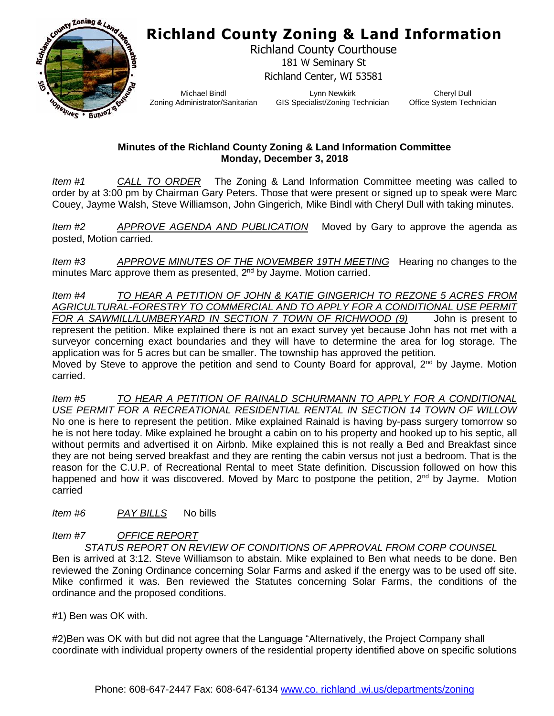## **Richland County Zoning & Land Information**



Richland County Courthouse 181 W Seminary St Richland Center, WI 53581

Michael Bindl Zoning Administrator/Sanitarian

Lynn Newkirk GIS Specialist/Zoning Technician

Cheryl Dull Office System Technician

## **Minutes of the Richland County Zoning & Land Information Committee Monday, December 3, 2018**

*Item #1 CALL TO ORDER* The Zoning & Land Information Committee meeting was called to order by at 3:00 pm by Chairman Gary Peters. Those that were present or signed up to speak were Marc Couey, Jayme Walsh, Steve Williamson, John Gingerich, Mike Bindl with Cheryl Dull with taking minutes.

*Item #2 APPROVE AGENDA AND PUBLICATION* Moved by Gary to approve the agenda as posted, Motion carried.

*Item #3 APPROVE MINUTES OF THE NOVEMBER 19TH MEETING* Hearing no changes to the minutes Marc approve them as presented, 2<sup>nd</sup> by Jayme. Motion carried.

*Item #4 TO HEAR A PETITION OF JOHN & KATIE GINGERICH TO REZONE 5 ACRES FROM AGRICULTURAL-FORESTRY TO COMMERCIAL AND TO APPLY FOR A CONDITIONAL USE PERMIT FOR A SAWMILL/LUMBERYARD IN SECTION 7 TOWN OF RICHWOOD (9)* John is present to represent the petition. Mike explained there is not an exact survey yet because John has not met with a surveyor concerning exact boundaries and they will have to determine the area for log storage. The application was for 5 acres but can be smaller. The township has approved the petition. Moved by Steve to approve the petition and send to County Board for approval, 2<sup>nd</sup> by Jayme. Motion carried.

*Item #5 TO HEAR A PETITION OF RAINALD SCHURMANN TO APPLY FOR A CONDITIONAL USE PERMIT FOR A RECREATIONAL RESIDENTIAL RENTAL IN SECTION 14 TOWN OF WILLOW* No one is here to represent the petition. Mike explained Rainald is having by-pass surgery tomorrow so he is not here today. Mike explained he brought a cabin on to his property and hooked up to his septic, all without permits and advertised it on Airbnb. Mike explained this is not really a Bed and Breakfast since they are not being served breakfast and they are renting the cabin versus not just a bedroom. That is the reason for the C.U.P. of Recreational Rental to meet State definition. Discussion followed on how this happened and how it was discovered. Moved by Marc to postpone the petition,  $2^{nd}$  by Jayme. Motion carried

*Item #6 PAY BILLS* No bills

## *Item #7 OFFICE REPORT*

*STATUS REPORT ON REVIEW OF CONDITIONS OF APPROVAL FROM CORP COUNSEL*  Ben is arrived at 3:12. Steve Williamson to abstain. Mike explained to Ben what needs to be done. Ben reviewed the Zoning Ordinance concerning Solar Farms and asked if the energy was to be used off site. Mike confirmed it was. Ben reviewed the Statutes concerning Solar Farms, the conditions of the ordinance and the proposed conditions.

#1) Ben was OK with.

#2)Ben was OK with but did not agree that the Language "Alternatively, the Project Company shall coordinate with individual property owners of the residential property identified above on specific solutions